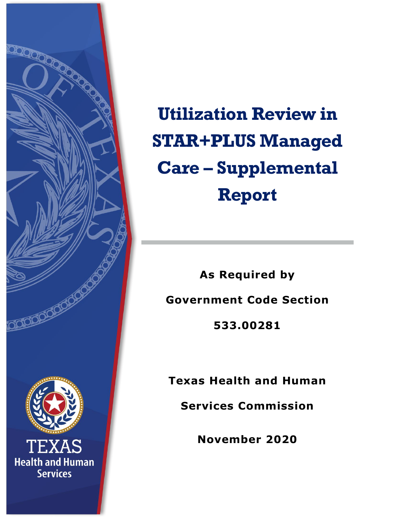

**Utilization Review in STAR+PLUS Managed Care – Supplemental Report**

**As Required by Government Code Section 533.00281**

**Texas Health and Human** 

**Services Commission**

**November 2020**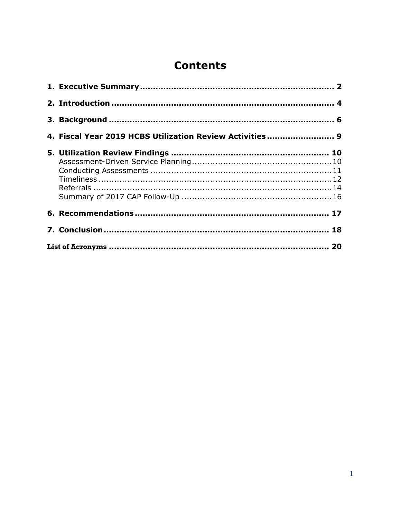# **Contents**

|  | 4. Fiscal Year 2019 HCBS Utilization Review Activities 9 |  |  |
|--|----------------------------------------------------------|--|--|
|  |                                                          |  |  |
|  |                                                          |  |  |
|  |                                                          |  |  |
|  |                                                          |  |  |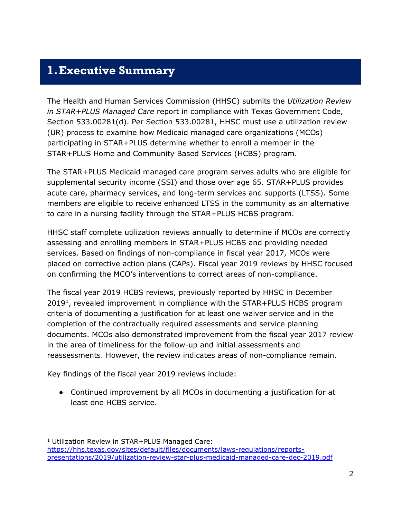### <span id="page-2-0"></span>**1.Executive Summary**

The Health and Human Services Commission (HHSC) submits the *Utilization Review in STAR+PLUS Managed Care* report in compliance with Texas Government Code, Section 533.00281(d). Per Section 533.00281, HHSC must use a utilization review (UR) process to examine how Medicaid managed care organizations (MCOs) participating in STAR+PLUS determine whether to enroll a member in the STAR+PLUS Home and Community Based Services (HCBS) program.

The STAR+PLUS Medicaid managed care program serves adults who are eligible for supplemental security income (SSI) and those over age 65. STAR+PLUS provides acute care, pharmacy services, and long-term services and supports (LTSS). Some members are eligible to receive enhanced LTSS in the community as an alternative to care in a nursing facility through the STAR+PLUS HCBS program.

HHSC staff complete utilization reviews annually to determine if MCOs are correctly assessing and enrolling members in STAR+PLUS HCBS and providing needed services. Based on findings of non-compliance in fiscal year 2017, MCOs were placed on corrective action plans (CAPs). Fiscal year 2019 reviews by HHSC focused on confirming the MCO's interventions to correct areas of non-compliance.

The fiscal year 2019 HCBS reviews, previously reported by HHSC in December 2019[1,](#page-2-1) revealed improvement in compliance with the STAR+PLUS HCBS program criteria of documenting a justification for at least one waiver service and in the completion of the contractually required assessments and service planning documents. MCOs also demonstrated improvement from the fiscal year 2017 review in the area of timeliness for the follow-up and initial assessments and reassessments. However, the review indicates areas of non-compliance remain.

Key findings of the fiscal year 2019 reviews include:

1

● Continued improvement by all MCOs in documenting a justification for at least one HCBS service.

<span id="page-2-1"></span><sup>1</sup> Utilization Review in STAR+PLUS Managed Care: [https://hhs.texas.gov/sites/default/files/documents/laws-regulations/reports](https://hhs.texas.gov/sites/default/files/documents/laws-regulations/reports-presentations/2019/utilization-review-star-plus-medicaid-managed-care-dec-2019.pdf)[presentations/2019/utilization-review-star-plus-medicaid-managed-care-dec-2019.pdf](https://hhs.texas.gov/sites/default/files/documents/laws-regulations/reports-presentations/2019/utilization-review-star-plus-medicaid-managed-care-dec-2019.pdf)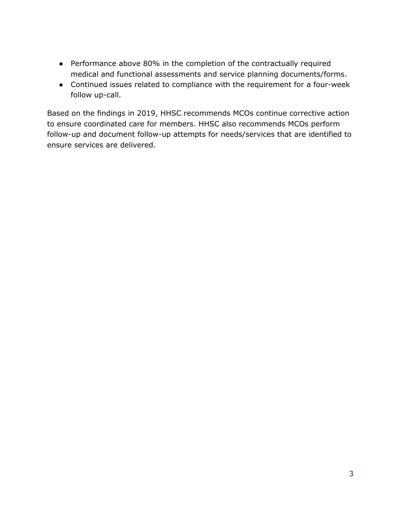- Performance above 80% in the completion of the contractually required medical and functional assessments and service planning documents/forms.
- Continued issues related to compliance with the requirement for a four-week follow up-call.

Based on the findings in 2019, HHSC recommends MCOs continue corrective action to ensure coordinated care for members. HHSC also recommends MCOs perform follow-up and document follow-up attempts for needs/services that are identified to ensure services are delivered.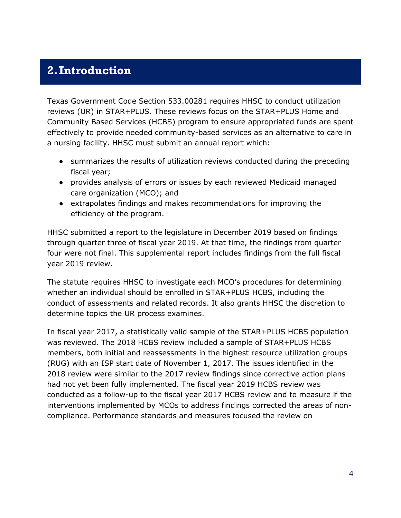### <span id="page-4-0"></span>**2.Introduction**

Texas Government Code Section 533.00281 requires HHSC to conduct utilization reviews (UR) in STAR+PLUS. These reviews focus on the STAR+PLUS Home and Community Based Services (HCBS) program to ensure appropriated funds are spent effectively to provide needed community-based services as an alternative to care in a nursing facility. HHSC must submit an annual report which:

- summarizes the results of utilization reviews conducted during the preceding fiscal year;
- provides analysis of errors or issues by each reviewed Medicaid managed care organization (MCO); and
- extrapolates findings and makes recommendations for improving the efficiency of the program.

HHSC submitted a report to the legislature in December 2019 based on findings through quarter three of fiscal year 2019. At that time, the findings from quarter four were not final. This supplemental report includes findings from the full fiscal year 2019 review.

The statute requires HHSC to investigate each MCO's procedures for determining whether an individual should be enrolled in STAR+PLUS HCBS, including the conduct of assessments and related records. It also grants HHSC the discretion to determine topics the UR process examines.

In fiscal year 2017, a statistically valid sample of the STAR+PLUS HCBS population was reviewed. The 2018 HCBS review included a sample of STAR+PLUS HCBS members, both initial and reassessments in the highest resource utilization groups (RUG) with an ISP start date of November 1, 2017. The issues identified in the 2018 review were similar to the 2017 review findings since corrective action plans had not yet been fully implemented. The fiscal year 2019 HCBS review was conducted as a follow-up to the fiscal year 2017 HCBS review and to measure if the interventions implemented by MCOs to address findings corrected the areas of noncompliance. Performance standards and measures focused the review on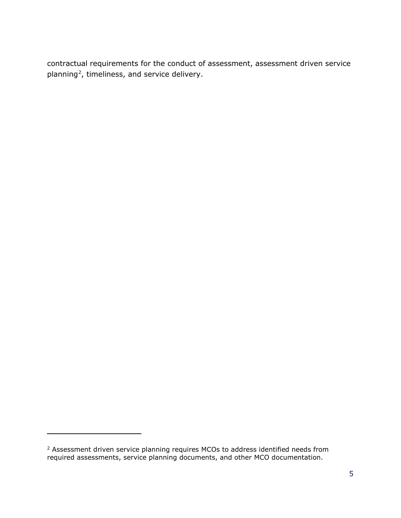contractual requirements for the conduct of assessment, assessment driven service planning<sup>[2](#page-5-0)</sup>, timeliness, and service delivery.

l

<span id="page-5-0"></span><sup>&</sup>lt;sup>2</sup> Assessment driven service planning requires MCOs to address identified needs from required assessments, service planning documents, and other MCO documentation.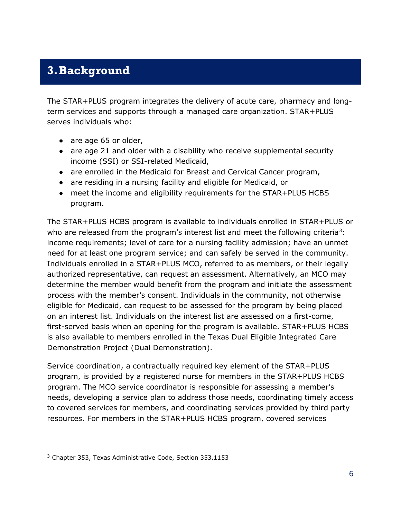## <span id="page-6-0"></span>**3.Background**

The STAR+PLUS program integrates the delivery of acute care, pharmacy and longterm services and supports through a managed care organization. STAR+PLUS serves individuals who:

- are age 65 or older,
- are age 21 and older with a disability who receive supplemental security income (SSI) or SSI-related Medicaid,
- are enrolled in the Medicaid for Breast and Cervical Cancer program,
- are residing in a nursing facility and eligible for Medicaid, or
- meet the income and eligibility requirements for the STAR+PLUS HCBS program.

The STAR+PLUS HCBS program is available to individuals enrolled in STAR+PLUS or who are released from the program's interest list and meet the following criteria<sup>[3](#page-6-1)</sup>: income requirements; level of care for a nursing facility admission; have an unmet need for at least one program service; and can safely be served in the community. Individuals enrolled in a STAR+PLUS MCO, referred to as members, or their legally authorized representative, can request an assessment. Alternatively, an MCO may determine the member would benefit from the program and initiate the assessment process with the member's consent. Individuals in the community, not otherwise eligible for Medicaid, can request to be assessed for the program by being placed on an interest list. Individuals on the interest list are assessed on a first-come, first-served basis when an opening for the program is available. STAR+PLUS HCBS is also available to members enrolled in the Texas Dual Eligible Integrated Care Demonstration Project (Dual Demonstration).

Service coordination, a contractually required key element of the STAR+PLUS program, is provided by a registered nurse for members in the STAR+PLUS HCBS program. The MCO service coordinator is responsible for assessing a member's needs, developing a service plan to address those needs, coordinating timely access to covered services for members, and coordinating services provided by third party resources. For members in the STAR+PLUS HCBS program, covered services

1

<span id="page-6-1"></span><sup>3</sup> Chapter 353, Texas Administrative Code, Section 353.1153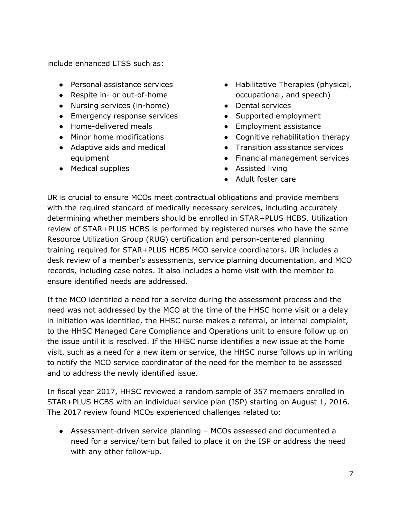include enhanced LTSS such as:

- Personal assistance services
- Respite in- or out-of-home
- Nursing services (in-home)
- Emergency response services
- Home-delivered meals
- Minor home modifications
- Adaptive aids and medical equipment
- Medical supplies
- Habilitative Therapies (physical, occupational, and speech)
- Dental services
- Supported employment
- Employment assistance
- Cognitive rehabilitation therapy
- Transition assistance services
- Financial management services
- Assisted living
- Adult foster care

UR is crucial to ensure MCOs meet contractual obligations and provide members with the required standard of medically necessary services, including accurately determining whether members should be enrolled in STAR+PLUS HCBS. Utilization review of STAR+PLUS HCBS is performed by registered nurses who have the same Resource Utilization Group (RUG) certification and person-centered planning training required for STAR+PLUS HCBS MCO service coordinators. UR includes a desk review of a member's assessments, service planning documentation, and MCO records, including case notes. It also includes a home visit with the member to ensure identified needs are addressed.

If the MCO identified a need for a service during the assessment process and the need was not addressed by the MCO at the time of the HHSC home visit or a delay in initiation was identified, the HHSC nurse makes a referral, or internal complaint, to the HHSC Managed Care Compliance and Operations unit to ensure follow up on the issue until it is resolved. If the HHSC nurse identifies a new issue at the home visit, such as a need for a new item or service, the HHSC nurse follows up in writing to notify the MCO service coordinator of the need for the member to be assessed and to address the newly identified issue.

In fiscal year 2017, HHSC reviewed a random sample of 357 members enrolled in STAR+PLUS HCBS with an individual service plan (ISP) starting on August 1, 2016. The 2017 review found MCOs experienced challenges related to:

● Assessment-driven service planning – MCOs assessed and documented a need for a service/item but failed to place it on the ISP or address the need with any other follow-up.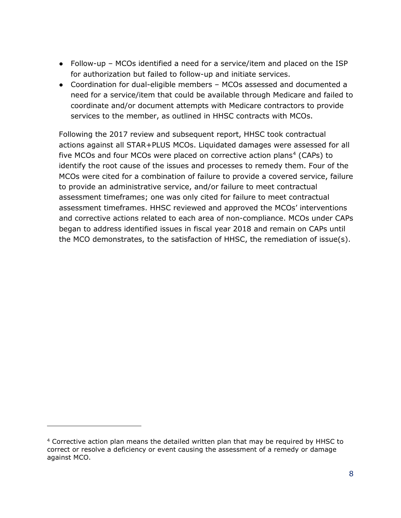- Follow-up MCOs identified a need for a service/item and placed on the ISP for authorization but failed to follow-up and initiate services.
- Coordination for dual-eligible members MCOs assessed and documented a need for a service/item that could be available through Medicare and failed to coordinate and/or document attempts with Medicare contractors to provide services to the member, as outlined in HHSC contracts with MCOs.

Following the 2017 review and subsequent report, HHSC took contractual actions against all STAR+PLUS MCOs. Liquidated damages were assessed for all five MCOs and four MCOs were placed on corrective action plans<sup>[4](#page-8-0)</sup> (CAPs) to identify the root cause of the issues and processes to remedy them. Four of the MCOs were cited for a combination of failure to provide a covered service, failure to provide an administrative service, and/or failure to meet contractual assessment timeframes; one was only cited for failure to meet contractual assessment timeframes. HHSC reviewed and approved the MCOs' interventions and corrective actions related to each area of non-compliance. MCOs under CAPs began to address identified issues in fiscal year 2018 and remain on CAPs until the MCO demonstrates, to the satisfaction of HHSC, the remediation of issue(s).

1

<span id="page-8-0"></span><sup>4</sup> Corrective action plan means the detailed written plan that may be required by HHSC to correct or resolve a deficiency or event causing the assessment of a remedy or damage against MCO.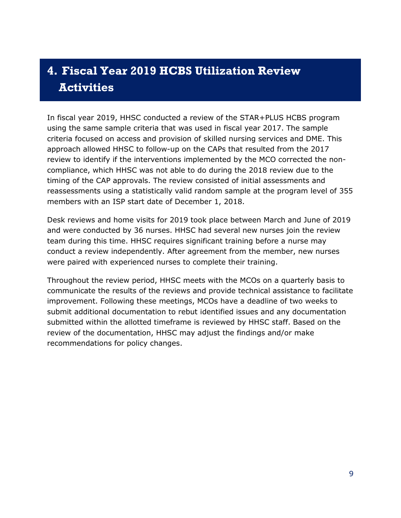# <span id="page-9-0"></span>**4. Fiscal Year 2019 HCBS Utilization Review Activities**

In fiscal year 2019, HHSC conducted a review of the STAR+PLUS HCBS program using the same sample criteria that was used in fiscal year 2017. The sample criteria focused on access and provision of skilled nursing services and DME. This approach allowed HHSC to follow-up on the CAPs that resulted from the 2017 review to identify if the interventions implemented by the MCO corrected the noncompliance, which HHSC was not able to do during the 2018 review due to the timing of the CAP approvals. The review consisted of initial assessments and reassessments using a statistically valid random sample at the program level of 355 members with an ISP start date of December 1, 2018.

Desk reviews and home visits for 2019 took place between March and June of 2019 and were conducted by 36 nurses. HHSC had several new nurses join the review team during this time. HHSC requires significant training before a nurse may conduct a review independently. After agreement from the member, new nurses were paired with experienced nurses to complete their training.

Throughout the review period, HHSC meets with the MCOs on a quarterly basis to communicate the results of the reviews and provide technical assistance to facilitate improvement. Following these meetings, MCOs have a deadline of two weeks to submit additional documentation to rebut identified issues and any documentation submitted within the allotted timeframe is reviewed by HHSC staff. Based on the review of the documentation, HHSC may adjust the findings and/or make recommendations for policy changes.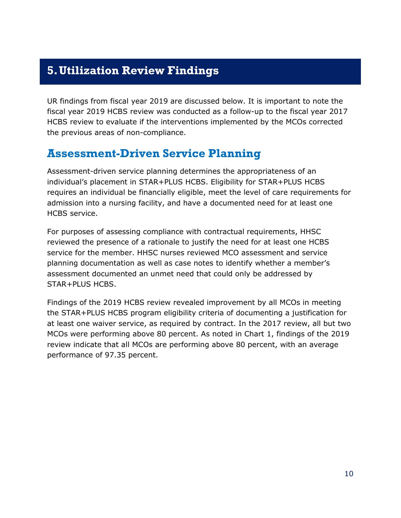### <span id="page-10-0"></span>**5.Utilization Review Findings**

UR findings from fiscal year 2019 are discussed below. It is important to note the fiscal year 2019 HCBS review was conducted as a follow-up to the fiscal year 2017 HCBS review to evaluate if the interventions implemented by the MCOs corrected the previous areas of non-compliance.

### <span id="page-10-1"></span>**Assessment-Driven Service Planning**

Assessment-driven service planning determines the appropriateness of an individual's placement in STAR+PLUS HCBS. Eligibility for STAR+PLUS HCBS requires an individual be financially eligible, meet the level of care requirements for admission into a nursing facility, and have a documented need for at least one HCBS service.

For purposes of assessing compliance with contractual requirements, HHSC reviewed the presence of a rationale to justify the need for at least one HCBS service for the member. HHSC nurses reviewed MCO assessment and service planning documentation as well as case notes to identify whether a member's assessment documented an unmet need that could only be addressed by STAR+PLUS HCBS.

Findings of the 2019 HCBS review revealed improvement by all MCOs in meeting the STAR+PLUS HCBS program eligibility criteria of documenting a justification for at least one waiver service, as required by contract. In the 2017 review, all but two MCOs were performing above 80 percent. As noted in Chart 1, findings of the 2019 review indicate that all MCOs are performing above 80 percent, with an average performance of 97.35 percent.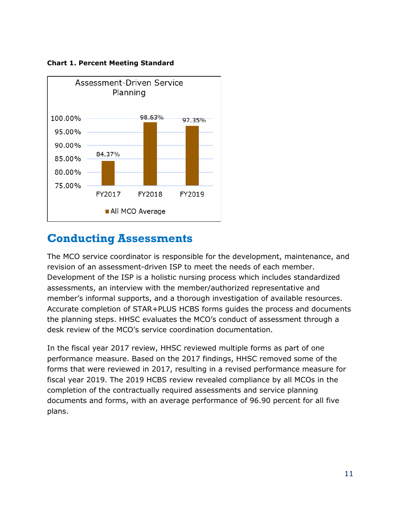

**Chart 1. Percent Meeting Standard**

### <span id="page-11-0"></span>**Conducting Assessments**

The MCO service coordinator is responsible for the development, maintenance, and revision of an assessment-driven ISP to meet the needs of each member. Development of the ISP is a holistic nursing process which includes standardized assessments, an interview with the member/authorized representative and member's informal supports, and a thorough investigation of available resources. Accurate completion of STAR+PLUS HCBS forms guides the process and documents the planning steps. HHSC evaluates the MCO's conduct of assessment through a desk review of the MCO's service coordination documentation.

In the fiscal year 2017 review, HHSC reviewed multiple forms as part of one performance measure. Based on the 2017 findings, HHSC removed some of the forms that were reviewed in 2017, resulting in a revised performance measure for fiscal year 2019. The 2019 HCBS review revealed compliance by all MCOs in the completion of the contractually required assessments and service planning documents and forms, with an average performance of 96.90 percent for all five plans.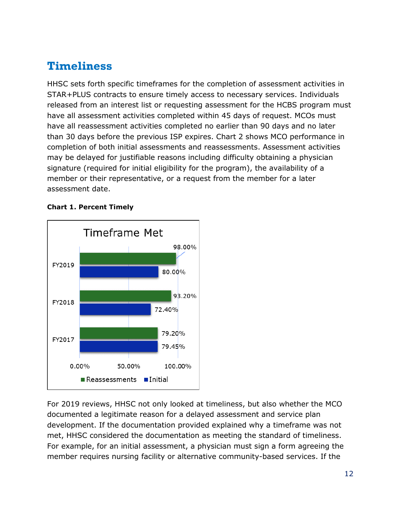## <span id="page-12-0"></span>**Timeliness**

HHSC sets forth specific timeframes for the completion of assessment activities in STAR+PLUS contracts to ensure timely access to necessary services. Individuals released from an interest list or requesting assessment for the HCBS program must have all assessment activities completed within 45 days of request. MCOs must have all reassessment activities completed no earlier than 90 days and no later than 30 days before the previous ISP expires. Chart 2 shows MCO performance in completion of both initial assessments and reassessments. Assessment activities may be delayed for justifiable reasons including difficulty obtaining a physician signature (required for initial eligibility for the program), the availability of a member or their representative, or a request from the member for a later assessment date.

#### **Chart 1. Percent Timely**



For 2019 reviews, HHSC not only looked at timeliness, but also whether the MCO documented a legitimate reason for a delayed assessment and service plan development. If the documentation provided explained why a timeframe was not met, HHSC considered the documentation as meeting the standard of timeliness. For example, for an initial assessment, a physician must sign a form agreeing the member requires nursing facility or alternative community-based services. If the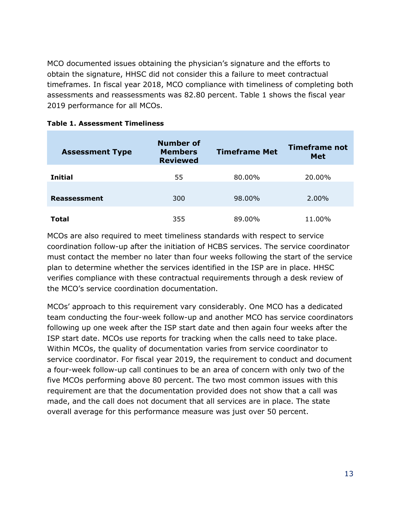MCO documented issues obtaining the physician's signature and the efforts to obtain the signature, HHSC did not consider this a failure to meet contractual timeframes. In fiscal year 2018, MCO compliance with timeliness of completing both assessments and reassessments was 82.80 percent. Table 1 shows the fiscal year 2019 performance for all MCOs.

| <b>Assessment Type</b> | <b>Number of</b><br><b>Members</b><br><b>Reviewed</b> | <b>Timeframe Met</b> | Timeframe not<br><b>Met</b> |
|------------------------|-------------------------------------------------------|----------------------|-----------------------------|
| <b>Initial</b>         | 55                                                    | 80.00%               | 20.00%                      |
| Reassessment           | 300                                                   | 98.00%               | $2.00\%$                    |
| Total                  | 355                                                   | 89.00%               | 11.00%                      |

MCOs are also required to meet timeliness standards with respect to service coordination follow-up after the initiation of HCBS services. The service coordinator must contact the member no later than four weeks following the start of the service plan to determine whether the services identified in the ISP are in place. HHSC verifies compliance with these contractual requirements through a desk review of the MCO's service coordination documentation.

MCOs' approach to this requirement vary considerably. One MCO has a dedicated team conducting the four-week follow-up and another MCO has service coordinators following up one week after the ISP start date and then again four weeks after the ISP start date. MCOs use reports for tracking when the calls need to take place. Within MCOs, the quality of documentation varies from service coordinator to service coordinator. For fiscal year 2019, the requirement to conduct and document a four-week follow-up call continues to be an area of concern with only two of the five MCOs performing above 80 percent. The two most common issues with this requirement are that the documentation provided does not show that a call was made, and the call does not document that all services are in place. The state overall average for this performance measure was just over 50 percent.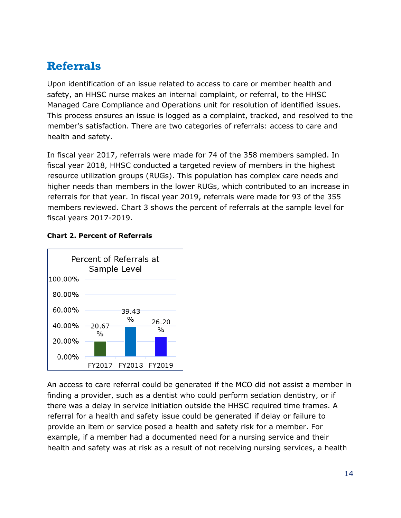## <span id="page-14-0"></span>**Referrals**

Upon identification of an issue related to access to care or member health and safety, an HHSC nurse makes an internal complaint, or referral, to the HHSC Managed Care Compliance and Operations unit for resolution of identified issues. This process ensures an issue is logged as a complaint, tracked, and resolved to the member's satisfaction. There are two categories of referrals: access to care and health and safety.

In fiscal year 2017, referrals were made for 74 of the 358 members sampled. In fiscal year 2018, HHSC conducted a targeted review of members in the highest resource utilization groups (RUGs). This population has complex care needs and higher needs than members in the lower RUGs, which contributed to an increase in referrals for that year. In fiscal year 2019, referrals were made for 93 of the 355 members reviewed. Chart 3 shows the percent of referrals at the sample level for fiscal years 2017-2019.



#### **Chart 2. Percent of Referrals**

An access to care referral could be generated if the MCO did not assist a member in finding a provider, such as a dentist who could perform sedation dentistry, or if there was a delay in service initiation outside the HHSC required time frames. A referral for a health and safety issue could be generated if delay or failure to provide an item or service posed a health and safety risk for a member. For example, if a member had a documented need for a nursing service and their health and safety was at risk as a result of not receiving nursing services, a health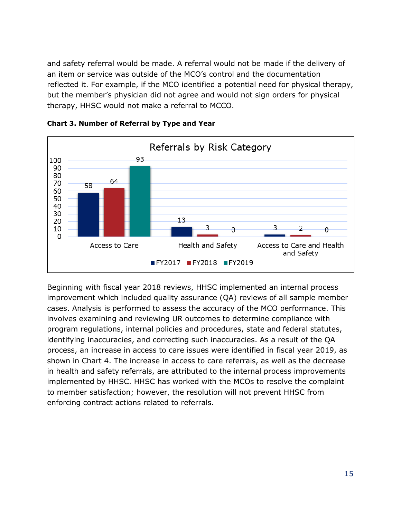and safety referral would be made. A referral would not be made if the delivery of an item or service was outside of the MCO's control and the documentation reflected it. For example, if the MCO identified a potential need for physical therapy, but the member's physician did not agree and would not sign orders for physical therapy, HHSC would not make a referral to MCCO.



**Chart 3. Number of Referral by Type and Year**

Beginning with fiscal year 2018 reviews, HHSC implemented an internal process improvement which included quality assurance (QA) reviews of all sample member cases. Analysis is performed to assess the accuracy of the MCO performance. This involves examining and reviewing UR outcomes to determine compliance with program regulations, internal policies and procedures, state and federal statutes, identifying inaccuracies, and correcting such inaccuracies. As a result of the QA process, an increase in access to care issues were identified in fiscal year 2019, as shown in Chart 4. The increase in access to care referrals, as well as the decrease in health and safety referrals, are attributed to the internal process improvements implemented by HHSC. HHSC has worked with the MCOs to resolve the complaint to member satisfaction; however, the resolution will not prevent HHSC from enforcing contract actions related to referrals.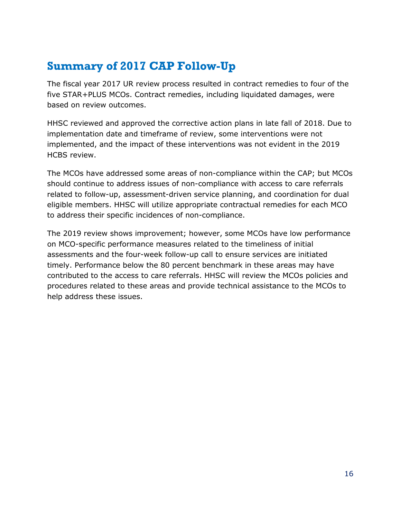# <span id="page-16-0"></span>**Summary of 2017 CAP Follow-Up**

The fiscal year 2017 UR review process resulted in contract remedies to four of the five STAR+PLUS MCOs. Contract remedies, including liquidated damages, were based on review outcomes.

HHSC reviewed and approved the corrective action plans in late fall of 2018. Due to implementation date and timeframe of review, some interventions were not implemented, and the impact of these interventions was not evident in the 2019 HCBS review.

The MCOs have addressed some areas of non-compliance within the CAP; but MCOs should continue to address issues of non-compliance with access to care referrals related to follow-up, assessment-driven service planning, and coordination for dual eligible members. HHSC will utilize appropriate contractual remedies for each MCO to address their specific incidences of non-compliance.

The 2019 review shows improvement; however, some MCOs have low performance on MCO-specific performance measures related to the timeliness of initial assessments and the four-week follow-up call to ensure services are initiated timely. Performance below the 80 percent benchmark in these areas may have contributed to the access to care referrals. HHSC will review the MCOs policies and procedures related to these areas and provide technical assistance to the MCOs to help address these issues.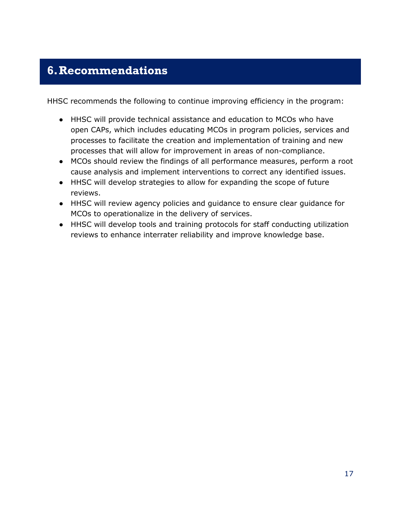## <span id="page-17-0"></span>**6.Recommendations**

HHSC recommends the following to continue improving efficiency in the program:

- HHSC will provide technical assistance and education to MCOs who have open CAPs, which includes educating MCOs in program policies, services and processes to facilitate the creation and implementation of training and new processes that will allow for improvement in areas of non-compliance.
- MCOs should review the findings of all performance measures, perform a root cause analysis and implement interventions to correct any identified issues.
- HHSC will develop strategies to allow for expanding the scope of future reviews.
- HHSC will review agency policies and guidance to ensure clear guidance for MCOs to operationalize in the delivery of services.
- HHSC will develop tools and training protocols for staff conducting utilization reviews to enhance interrater reliability and improve knowledge base.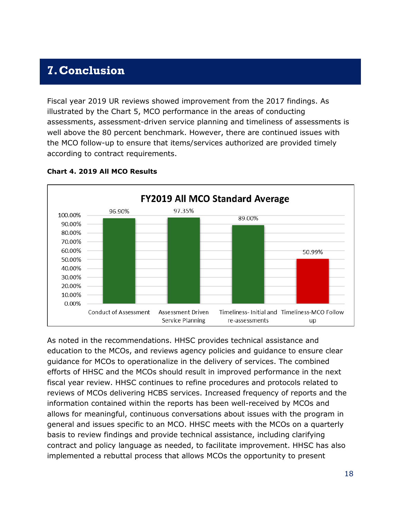### <span id="page-18-0"></span>**7.Conclusion**

Fiscal year 2019 UR reviews showed improvement from the 2017 findings. As illustrated by the Chart 5, MCO performance in the areas of conducting assessments, assessment-driven service planning and timeliness of assessments is well above the 80 percent benchmark. However, there are continued issues with the MCO follow-up to ensure that items/services authorized are provided timely according to contract requirements.



#### **Chart 4. 2019 All MCO Results**

As noted in the recommendations. HHSC provides technical assistance and education to the MCOs, and reviews agency policies and guidance to ensure clear guidance for MCOs to operationalize in the delivery of services. The combined efforts of HHSC and the MCOs should result in improved performance in the next fiscal year review. HHSC continues to refine procedures and protocols related to reviews of MCOs delivering HCBS services. Increased frequency of reports and the information contained within the reports has been well-received by MCOs and allows for meaningful, continuous conversations about issues with the program in general and issues specific to an MCO. HHSC meets with the MCOs on a quarterly basis to review findings and provide technical assistance, including clarifying contract and policy language as needed, to facilitate improvement. HHSC has also implemented a rebuttal process that allows MCOs the opportunity to present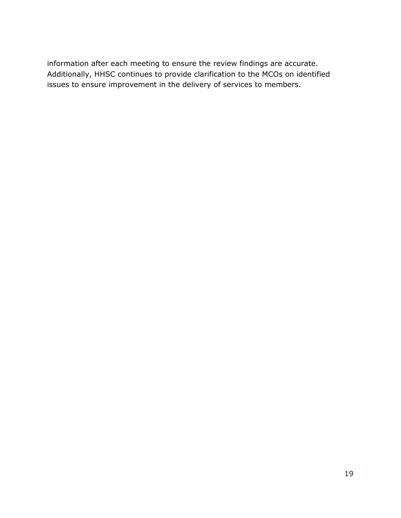information after each meeting to ensure the review findings are accurate. Additionally, HHSC continues to provide clarification to the MCOs on identified issues to ensure improvement in the delivery of services to members.